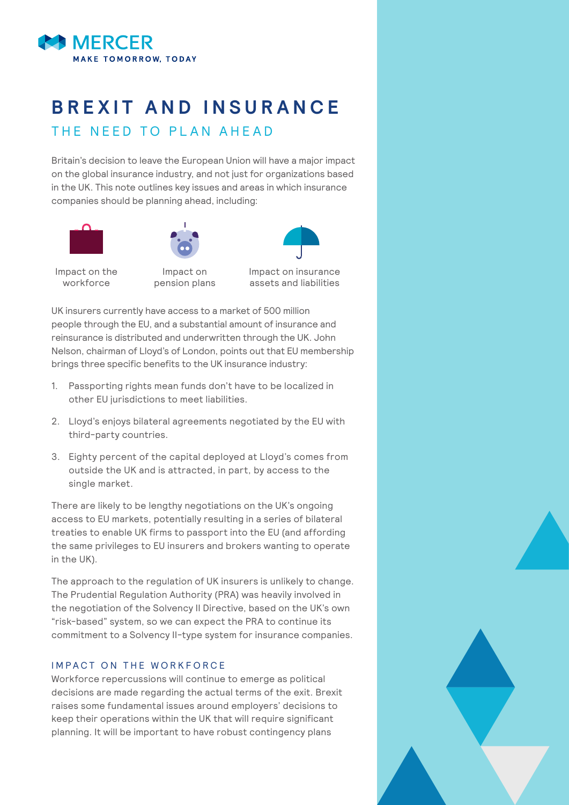

# **BREXIT AND INSURANCE** THE NEED TO PLAN AHEAD

Britain's decision to leave the European Union will have a major impact on the global insurance industry, and not just for organizations based in the UK. This note outlines key issues and areas in which insurance companies should be planning ahead, including:





Impact on the workforce

Impact on pension plans

Impact on insurance assets and liabilities

UK insurers currently have access to a market of 500 million people through the EU, and a substantial amount of insurance and reinsurance is distributed and underwritten through the UK. John Nelson, chairman of Lloyd's of London, points out that EU membership brings three specific benefits to the UK insurance industry:

- 1. Passporting rights mean funds don't have to be localized in other EU jurisdictions to meet liabilities.
- 2. Lloyd's enjoys bilateral agreements negotiated by the EU with third-party countries.
- 3. Eighty percent of the capital deployed at Lloyd's comes from outside the UK and is attracted, in part, by access to the single market.

There are likely to be lengthy negotiations on the UK's ongoing access to EU markets, potentially resulting in a series of bilateral treaties to enable UK firms to passport into the EU (and affording the same privileges to EU insurers and brokers wanting to operate in the UK).

The approach to the regulation of UK insurers is unlikely to change. The Prudential Regulation Authority (PRA) was heavily involved in the negotiation of the Solvency II Directive, based on the UK's own "risk-based" system, so we can expect the PRA to continue its commitment to a Solvency II-type system for insurance companies.

## IMPACT ON THE WORKFORCE

Workforce repercussions will continue to emerge as political decisions are made regarding the actual terms of the exit. Brexit raises some fundamental issues around employers' decisions to keep their operations within the UK that will require significant planning. It will be important to have robust contingency plans

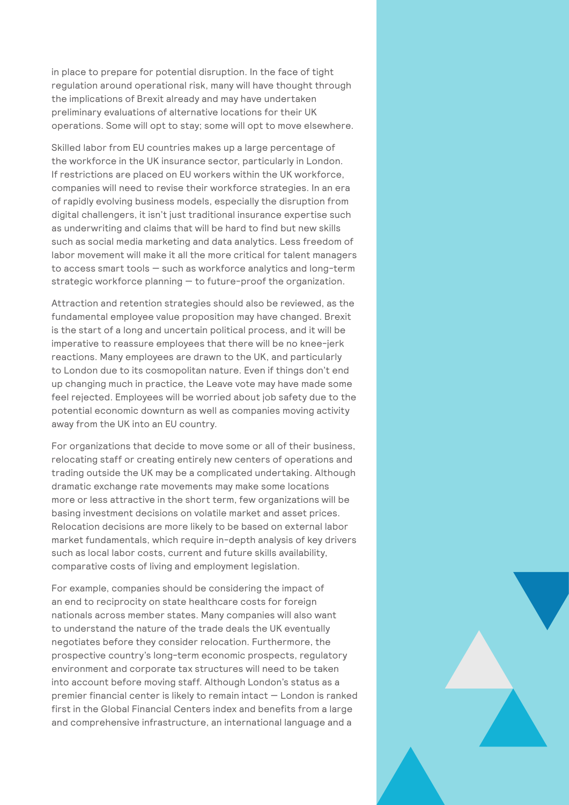in place to prepare for potential disruption. In the face of tight regulation around operational risk, many will have thought through the implications of Brexit already and may have undertaken preliminary evaluations of alternative locations for their UK operations. Some will opt to stay; some will opt to move elsewhere.

Skilled labor from EU countries makes up a large percentage of the workforce in the UK insurance sector, particularly in London. If restrictions are placed on EU workers within the UK workforce, companies will need to revise their workforce strategies. In an era of rapidly evolving business models, especially the disruption from digital challengers, it isn't just traditional insurance expertise such as underwriting and claims that will be hard to find but new skills such as social media marketing and data analytics. Less freedom of labor movement will make it all the more critical for talent managers to access smart tools — such as workforce analytics and long-term strategic workforce planning — to future-proof the organization.

Attraction and retention strategies should also be reviewed, as the fundamental employee value proposition may have changed. Brexit is the start of a long and uncertain political process, and it will be imperative to reassure employees that there will be no knee-jerk reactions. Many employees are drawn to the UK, and particularly to London due to its cosmopolitan nature. Even if things don't end up changing much in practice, the Leave vote may have made some feel rejected. Employees will be worried about job safety due to the potential economic downturn as well as companies moving activity away from the UK into an EU country.

For organizations that decide to move some or all of their business, relocating staff or creating entirely new centers of operations and trading outside the UK may be a complicated undertaking. Although dramatic exchange rate movements may make some locations more or less attractive in the short term, few organizations will be basing investment decisions on volatile market and asset prices. Relocation decisions are more likely to be based on external labor market fundamentals, which require in-depth analysis of key drivers such as local labor costs, current and future skills availability, comparative costs of living and employment legislation.

For example, companies should be considering the impact of an end to reciprocity on state healthcare costs for foreign nationals across member states. Many companies will also want to understand the nature of the trade deals the UK eventually negotiates before they consider relocation. Furthermore, the prospective country's long-term economic prospects, regulatory environment and corporate tax structures will need to be taken into account before moving staff. Although London's status as a premier financial center is likely to remain intact — London is ranked first in the Global Financial Centers index and benefits from a large and comprehensive infrastructure, an international language and a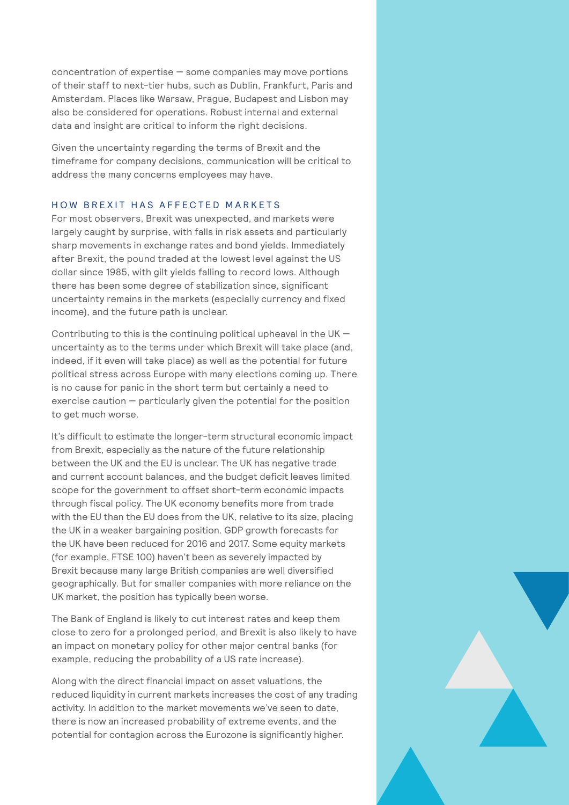concentration of expertise — some companies may move portions of their staff to next-tier hubs, such as Dublin, Frankfurt, Paris and Amsterdam. Places like Warsaw, Prague, Budapest and Lisbon may also be considered for operations. Robust internal and external data and insight are critical to inform the right decisions.

Given the uncertainty regarding the terms of Brexit and the timeframe for company decisions, communication will be critical to address the many concerns employees may have.

### HOW BREXIT HAS AFFECTED MARKETS

For most observers, Brexit was unexpected, and markets were largely caught by surprise, with falls in risk assets and particularly sharp movements in exchange rates and bond yields. Immediately after Brexit, the pound traded at the lowest level against the US dollar since 1985, with gilt yields falling to record lows. Although there has been some degree of stabilization since, significant uncertainty remains in the markets (especially currency and fixed income), and the future path is unclear.

Contributing to this is the continuing political upheaval in the UK  $$ uncertainty as to the terms under which Brexit will take place (and, indeed, if it even will take place) as well as the potential for future political stress across Europe with many elections coming up. There is no cause for panic in the short term but certainly a need to exercise caution — particularly given the potential for the position to get much worse.

It's difficult to estimate the longer-term structural economic impact from Brexit, especially as the nature of the future relationship between the UK and the EU is unclear. The UK has negative trade and current account balances, and the budget deficit leaves limited scope for the government to offset short-term economic impacts through fiscal policy. The UK economy benefits more from trade with the EU than the EU does from the UK, relative to its size, placing the UK in a weaker bargaining position. GDP growth forecasts for the UK have been reduced for 2016 and 2017. Some equity markets (for example, FTSE 100) haven't been as severely impacted by Brexit because many large British companies are well diversified geographically. But for smaller companies with more reliance on the UK market, the position has typically been worse.

The Bank of England is likely to cut interest rates and keep them close to zero for a prolonged period, and Brexit is also likely to have an impact on monetary policy for other major central banks (for example, reducing the probability of a US rate increase).

Along with the direct financial impact on asset valuations, the reduced liquidity in current markets increases the cost of any trading activity. In addition to the market movements we've seen to date, there is now an increased probability of extreme events, and the potential for contagion across the Eurozone is significantly higher.

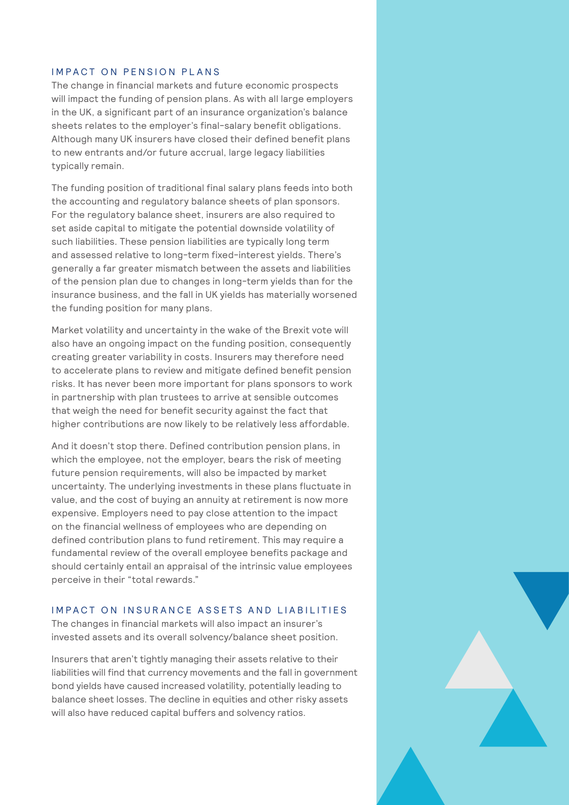#### IMPACT ON PENSION PLANS

The change in financial markets and future economic prospects will impact the funding of pension plans. As with all large employers in the UK, a significant part of an insurance organization's balance sheets relates to the employer's final-salary benefit obligations. Although many UK insurers have closed their defined benefit plans to new entrants and/or future accrual, large legacy liabilities typically remain.

The funding position of traditional final salary plans feeds into both the accounting and regulatory balance sheets of plan sponsors. For the regulatory balance sheet, insurers are also required to set aside capital to mitigate the potential downside volatility of such liabilities. These pension liabilities are typically long term and assessed relative to long-term fixed-interest yields. There's generally a far greater mismatch between the assets and liabilities of the pension plan due to changes in long-term yields than for the insurance business, and the fall in UK yields has materially worsened the funding position for many plans.

Market volatility and uncertainty in the wake of the Brexit vote will also have an ongoing impact on the funding position, consequently creating greater variability in costs. Insurers may therefore need to accelerate plans to review and mitigate defined benefit pension risks. It has never been more important for plans sponsors to work in partnership with plan trustees to arrive at sensible outcomes that weigh the need for benefit security against the fact that higher contributions are now likely to be relatively less affordable.

And it doesn't stop there. Defined contribution pension plans, in which the employee, not the employer, bears the risk of meeting future pension requirements, will also be impacted by market uncertainty. The underlying investments in these plans fluctuate in value, and the cost of buying an annuity at retirement is now more expensive. Employers need to pay close attention to the impact on the financial wellness of employees who are depending on defined contribution plans to fund retirement. This may require a fundamental review of the overall employee benefits package and should certainly entail an appraisal of the intrinsic value employees perceive in their "total rewards."

#### IMPACT ON INSURANCE ASSETS AND LIABILITIES

The changes in financial markets will also impact an insurer's invested assets and its overall solvency/balance sheet position.

Insurers that aren't tightly managing their assets relative to their liabilities will find that currency movements and the fall in government bond yields have caused increased volatility, potentially leading to balance sheet losses. The decline in equities and other risky assets will also have reduced capital buffers and solvency ratios.